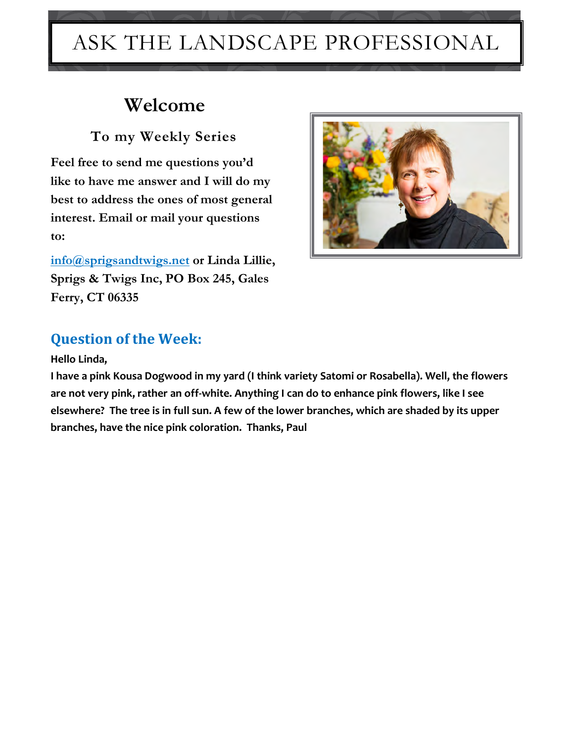# ASK THE LANDSCAPE PROFESSIONAL

# **Welcome**

 **To my Weekly Series**

**Feel free to send me questions you'd like to have me answer and I will do my best to address the ones of most general interest. Email or mail your questions to:** 

**[info@sprigsandtwigs.net](mailto:info@sprigsandtwigs.net) or Linda Lillie, Sprigs & Twigs Inc, PO Box 245, Gales Ferry, CT 06335**



### **Question of the Week:**

#### **Hello Linda,**

**I have a pink Kousa Dogwood in my yard (I think variety Satomi or Rosabella). Well, the flowers are not very pink, rather an off-white. Anything I can do to enhance pink flowers, like I see elsewhere? The tree is in full sun. A few of the lower branches, which are shaded by its upper branches, have the nice pink coloration. Thanks, Paul**